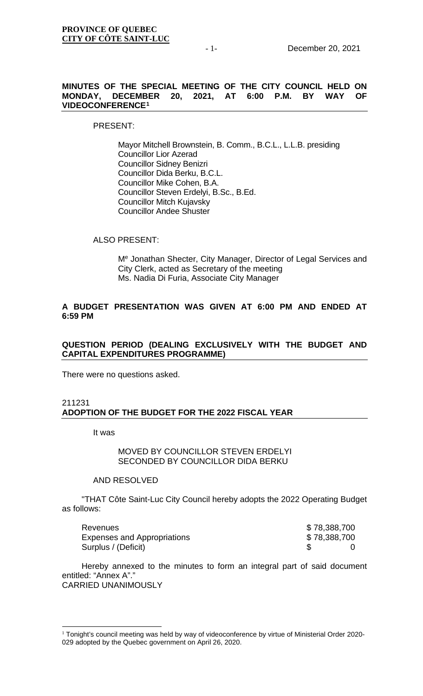#### **MINUTES OF THE SPECIAL MEETING OF THE CITY COUNCIL HELD ON MONDAY, DECEMBER 20, 2021, AT 6:00 P.M. BY VIDEOCONFERENCE[1](#page-0-0)**

#### PRESENT:

Mayor Mitchell Brownstein, B. Comm., B.C.L., L.L.B. presiding Councillor Lior Azerad Councillor Sidney Benizri Councillor Dida Berku, B.C.L. Councillor Mike Cohen, B.A. Councillor Steven Erdelyi, B.Sc., B.Ed. Councillor Mitch Kujavsky Councillor Andee Shuster

#### ALSO PRESENT:

Me Jonathan Shecter, City Manager, Director of Legal Services and City Clerk, acted as Secretary of the meeting Ms. Nadia Di Furia, Associate City Manager

# **A BUDGET PRESENTATION WAS GIVEN AT 6:00 PM AND ENDED AT 6:59 PM**

# **QUESTION PERIOD (DEALING EXCLUSIVELY WITH THE BUDGET AND CAPITAL EXPENDITURES PROGRAMME)**

There were no questions asked.

#### 211231 **ADOPTION OF THE BUDGET FOR THE 2022 FISCAL YEAR**

It was

#### MOVED BY COUNCILLOR STEVEN ERDELYI SECONDED BY COUNCILLOR DIDA BERKU

#### AND RESOLVED

"THAT Côte Saint-Luc City Council hereby adopts the 2022 Operating Budget as follows:

| <b>Revenues</b>             | \$78,388,700 |  |
|-----------------------------|--------------|--|
| Expenses and Appropriations | \$78,388,700 |  |
| Surplus / (Deficit)         |              |  |

Hereby annexed to the minutes to form an integral part of said document entitled: "Annex A"." CARRIED UNANIMOUSLY

<span id="page-0-0"></span><sup>&</sup>lt;sup>1</sup> Tonight's council meeting was held by way of videoconference by virtue of Ministerial Order 2020-029 adopted by the Quebec government on April 26, 2020.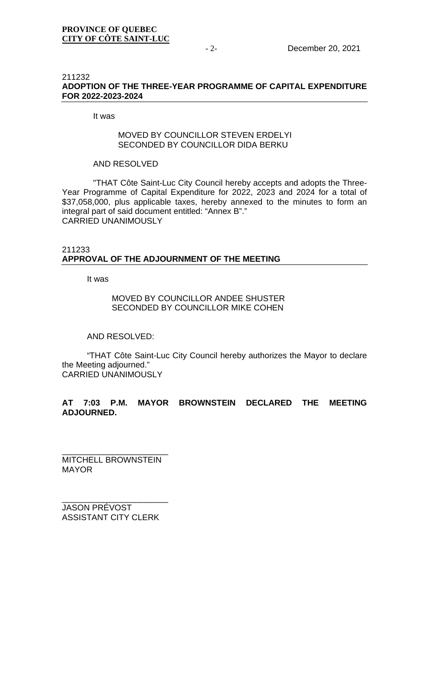#### 211232 **ADOPTION OF THE THREE-YEAR PROGRAMME OF CAPITAL EXPENDITURE FOR 2022-2023-2024**

#### It was

### MOVED BY COUNCILLOR STEVEN ERDELYL SECONDED BY COUNCILLOR DIDA BERKU

### AND RESOLVED

"THAT Côte Saint-Luc City Council hereby accepts and adopts the Three-Year Programme of Capital Expenditure for 2022, 2023 and 2024 for a total of \$37,058,000, plus applicable taxes, hereby annexed to the minutes to form an integral part of said document entitled: "Annex B"." CARRIED UNANIMOUSLY

#### 211233 **APPROVAL OF THE ADJOURNMENT OF THE MEETING**

It was

# MOVED BY COUNCILLOR ANDEE SHUSTER SECONDED BY COUNCILLOR MIKE COHEN

#### AND RESOLVED:

"THAT Côte Saint-Luc City Council hereby authorizes the Mayor to declare the Meeting adjourned." CARRIED UNANIMOUSLY

# **AT 7:03 P.M. MAYOR BROWNSTEIN DECLARED THE MEETING ADJOURNED.**

\_\_\_\_\_\_\_\_\_\_\_\_\_\_\_\_\_\_\_\_\_\_\_ MITCHELL BROWNSTEIN MAYOR

\_\_\_\_\_\_\_\_\_\_\_\_\_\_\_\_\_\_\_\_\_\_\_ JASON PRÉVOST ASSISTANT CITY CLERK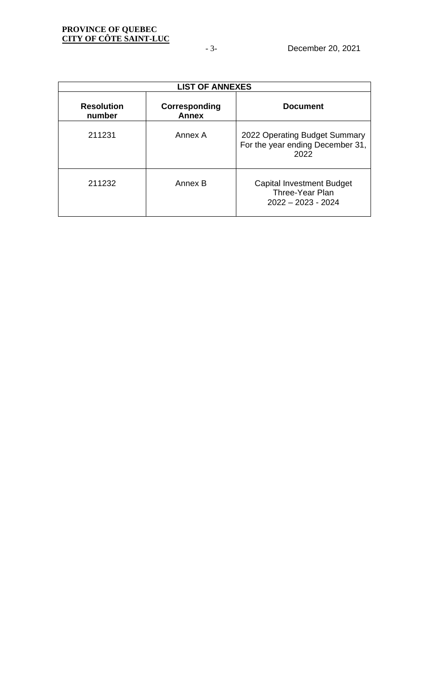|                             | <b>LIST OF ANNEXES</b>        |                                                                             |
|-----------------------------|-------------------------------|-----------------------------------------------------------------------------|
| <b>Resolution</b><br>number | Corresponding<br><b>Annex</b> | <b>Document</b>                                                             |
| 211231                      | Annex A                       | 2022 Operating Budget Summary<br>For the year ending December 31,<br>2022   |
| 211232                      | Annex B                       | <b>Capital Investment Budget</b><br>Three-Year Plan<br>$2022 - 2023 - 2024$ |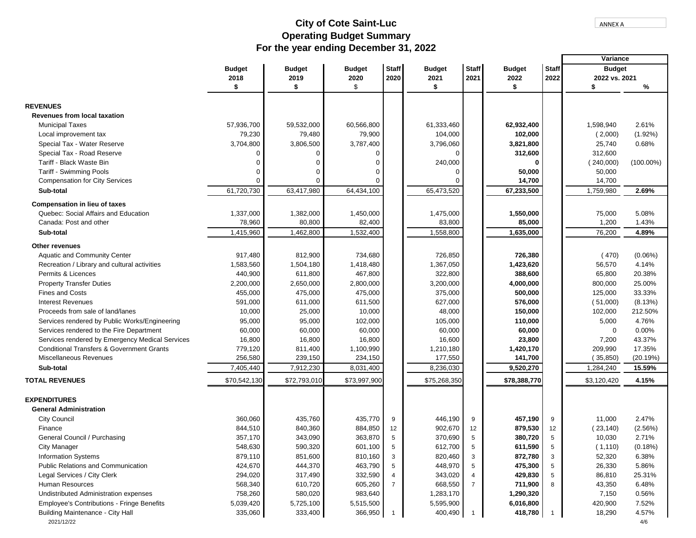Г

# **For the year ending December 31, 2022 Operating Budget Summary City of Cote Saint-Luc**

|                                                      |               |               |               |                |               |                |               |              | Variance      |              |
|------------------------------------------------------|---------------|---------------|---------------|----------------|---------------|----------------|---------------|--------------|---------------|--------------|
|                                                      | <b>Budget</b> | <b>Budget</b> | <b>Budget</b> | <b>Staff</b>   | <b>Budget</b> | <b>Staff</b>   | <b>Budget</b> | <b>Staff</b> | <b>Budget</b> |              |
|                                                      | 2018          | 2019          | 2020          | 2020           | 2021          | 2021           | 2022          | 2022         | 2022 vs. 2021 |              |
|                                                      | \$            | \$            | \$            |                | \$            |                | \$            |              | \$            | %            |
|                                                      |               |               |               |                |               |                |               |              |               |              |
| <b>REVENUES</b>                                      |               |               |               |                |               |                |               |              |               |              |
| <b>Revenues from local taxation</b>                  |               |               |               |                |               |                |               |              |               |              |
| <b>Municipal Taxes</b>                               | 57,936,700    | 59,532,000    | 60,566,800    |                | 61,333,460    |                | 62,932,400    |              | 1,598,940     | 2.61%        |
| Local improvement tax                                | 79,230        | 79,480        | 79,900        |                | 104,000       |                | 102,000       |              | (2,000)       | $(1.92\%)$   |
| Special Tax - Water Reserve                          | 3,704,800     | 3,806,500     | 3,787,400     |                | 3,796,060     |                | 3,821,800     |              | 25,740        | 0.68%        |
| Special Tax - Road Reserve                           | 0             |               |               |                | $\Omega$      |                | 312,600       |              | 312,600       |              |
| Tariff - Black Waste Bin                             |               |               |               |                | 240,000       |                | $\mathbf 0$   |              | (240,000)     | $(100.00\%)$ |
| Tariff - Swimming Pools                              | $\Omega$      |               | U             |                | $\Omega$      |                | 50,000        |              | 50,000        |              |
| <b>Compensation for City Services</b>                | $\Omega$      | $\Omega$      | n             |                |               |                | 14,700        |              | 14,700        |              |
| Sub-total                                            | 61,720,730    | 63,417,980    | 64,434,100    |                | 65,473,520    |                | 67,233,500    |              | 1,759,980     | 2.69%        |
| <b>Compensation in lieu of taxes</b>                 |               |               |               |                |               |                |               |              |               |              |
| Quebec: Social Affairs and Education                 | 1,337,000     | 1,382,000     | 1,450,000     |                | 1,475,000     |                | 1,550,000     |              | 75,000        | 5.08%        |
| Canada: Post and other                               | 78,960        | 80,800        | 82,400        |                | 83,800        |                | 85,000        |              | 1,200         | 1.43%        |
| Sub-total                                            | 1,415,960     | 1,462,800     | 1,532,400     |                | 1,558,800     |                | 1,635,000     |              | 76,200        | 4.89%        |
|                                                      |               |               |               |                |               |                |               |              |               |              |
| <b>Other revenues</b>                                |               |               |               |                |               |                |               |              |               |              |
| <b>Aquatic and Community Center</b>                  | 917,480       | 812,900       | 734,680       |                | 726,850       |                | 726,380       |              | (470)         | $(0.06\%)$   |
| Recreation / Library and cultural activities         | 1,583,560     | 1,504,180     | 1,418,480     |                | 1,367,050     |                | 1,423,620     |              | 56,570        | 4.14%        |
| Permits & Licences                                   | 440,900       | 611,800       | 467,800       |                | 322,800       |                | 388,600       |              | 65,800        | 20.38%       |
| <b>Property Transfer Duties</b>                      | 2,200,000     | 2,650,000     | 2,800,000     |                | 3,200,000     |                | 4,000,000     |              | 800,000       | 25.00%       |
| <b>Fines and Costs</b>                               | 455,000       | 475,000       | 475,000       |                | 375,000       |                | 500,000       |              | 125,000       | 33.33%       |
| <b>Interest Revenues</b>                             | 591,000       | 611,000       | 611,500       |                | 627,000       |                | 576,000       |              | (51,000)      | (8.13%)      |
| Proceeds from sale of land/lanes                     | 10,000        | 25,000        | 10,000        |                | 48,000        |                | 150,000       |              | 102,000       | 212.50%      |
| Services rendered by Public Works/Engineering        | 95,000        | 95,000        | 102,000       |                | 105,000       |                | 110,000       |              | 5,000         | 4.76%        |
| Services rendered to the Fire Department             | 60,000        | 60,000        | 60,000        |                | 60,000        |                | 60,000        |              | $\Omega$      | 0.00%        |
| Services rendered by Emergency Medical Services      | 16,800        | 16,800        | 16,800        |                | 16,600        |                | 23,800        |              | 7,200         | 43.37%       |
| <b>Conditional Transfers &amp; Government Grants</b> | 779,120       | 811,400       | 1,100,990     |                | 1,210,180     |                | 1,420,170     |              | 209,990       | 17.35%       |
| Miscellaneous Revenues                               | 256,580       | 239,150       | 234,150       |                | 177,550       |                | 141,700       |              | (35, 850)     | (20.19%)     |
| Sub-total                                            | 7,405,440     | 7,912,230     | 8,031,400     |                | 8,236,030     |                | 9,520,270     |              | 1,284,240     | 15.59%       |
| <b>TOTAL REVENUES</b>                                | \$70,542,130  | \$72,793,010  | \$73,997,900  |                | \$75,268,350  |                | \$78,388,770  |              | \$3,120,420   | 4.15%        |
| <b>EXPENDITURES</b>                                  |               |               |               |                |               |                |               |              |               |              |
| <b>General Administration</b>                        |               |               |               |                |               |                |               |              |               |              |
| <b>City Council</b>                                  | 360,060       | 435,760       | 435,770       | 9              | 446,190       | 9              | 457,190       | 9            | 11,000        | 2.47%        |
| Finance                                              | 844,510       | 840,360       | 884,850       | 12             | 902,670       | 12             | 879,530       | 12           | (23, 140)     | (2.56%)      |
| General Council / Purchasing                         | 357,170       | 343,090       | 363,870       | 5              | 370,690       | 5              | 380,720       | 5            | 10,030        | 2.71%        |
| <b>City Manager</b>                                  | 548,630       | 590,320       | 601,100       | 5              | 612,700       | 5              | 611,590       | 5            | (1, 110)      | (0.18%)      |
| <b>Information Systems</b>                           | 879,110       | 851,600       | 810,160       | 3              | 820,460       | 3              | 872,780       | 3            | 52,320        | 6.38%        |
| Public Relations and Communication                   | 424,670       | 444,370       | 463,790       | 5              | 448,970       | 5              | 475,300       | 5            | 26,330        | 5.86%        |
| Legal Services / City Clerk                          | 294,020       | 317,490       | 332,590       |                | 343,020       | 4              | 429,830       | 5            | 86,810        | 25.31%       |
| Human Resources                                      | 568,340       | 610,720       | 605,260       | $\overline{7}$ | 668,550       | $\overline{7}$ | 711,900       | 8            | 43,350        | 6.48%        |
| Undistributed Administration expenses                | 758,260       | 580,020       | 983,640       |                | 1,283,170     |                | 1,290,320     |              | 7,150         | 0.56%        |
| Employee's Contributions - Fringe Benefits           | 5,039,420     | 5,725,100     | 5,515,500     |                | 5,595,900     |                | 6,016,800     |              | 420,900       | 7.52%        |
| Building Maintenance - City Hall                     | 335,060       | 333,400       | 366,950       |                | 400,490       | $\overline{1}$ | 418,780       | -1           | 18,290        | 4.57%        |
| 2021/12/22                                           |               |               |               |                |               |                |               |              |               | 4/6          |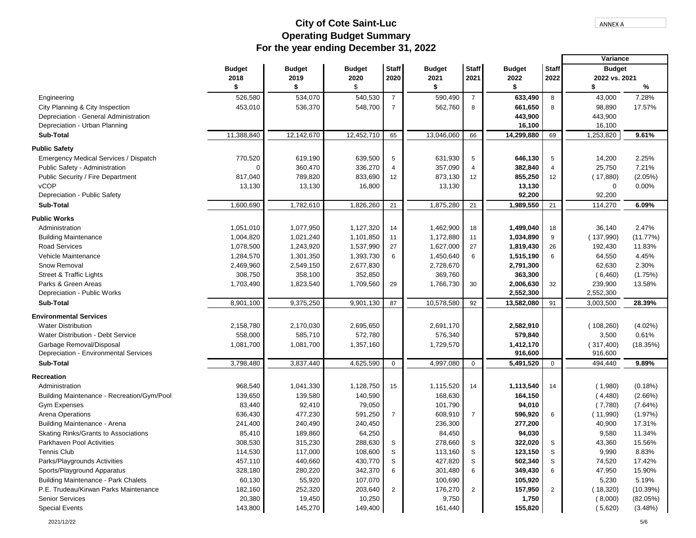# **For the year ending December 31, 2022 Operating Budget Summary City of Cote Saint-Luc**

|                                            |               |               |               |                |               |                |               |                | Variance      |            |
|--------------------------------------------|---------------|---------------|---------------|----------------|---------------|----------------|---------------|----------------|---------------|------------|
|                                            | <b>Budget</b> | <b>Budget</b> | <b>Budget</b> | <b>Staff</b>   | <b>Budget</b> | <b>Staff</b>   | <b>Budget</b> | <b>Staff</b>   | <b>Budget</b> |            |
|                                            | 2018          | 2019          | 2020          | 2020           | 2021          | 2021           | 2022          | 2022           | 2022 vs. 2021 |            |
|                                            | \$            | \$            | \$            |                | \$            |                | \$            |                | \$            | %          |
| Engineering                                | 526,580       | 534,070       | 540,530       | $\overline{7}$ | 590,490       | $\overline{7}$ | 633,490       | 8              | 43,000        | 7.28%      |
| City Planning & City Inspection            | 453,010       | 536,370       | 548,700       | $\overline{7}$ | 562,760       | 8              | 661,650       | 8              | 98,890        | 17.57%     |
| Depreciation - General Administration      |               |               |               |                |               |                | 443,900       |                | 443,900       |            |
| Depreciation - Urban Planning              |               |               |               |                |               |                | 16,100        |                | 16,100        |            |
| Sub-Total                                  | 11,388,840    | 12,142,670    | 12,452,710    | 65             | 13,046,060    | 66             | 14,299,880    | 69             | 1,253,820     | 9.61%      |
| <b>Public Safety</b>                       |               |               |               |                |               |                |               |                |               |            |
| Emergency Medical Services / Dispatch      | 770,520       | 619,190       | 639,500       | 5              | 631,930       | 5              | 646,130       | 5              | 14,200        | 2.25%      |
| Public Safety - Administration             | $\Omega$      | 360,470       | 336,270       | $\overline{4}$ | 357,090       | $\overline{4}$ | 382,840       | $\overline{4}$ | 25,750        | 7.21%      |
| Public Security / Fire Department          | 817,040       | 789,820       | 833,690       | 12             | 873,130       | 12             | 855,250       | 12             | (17,880)      | (2.05%)    |
| <b>vCOP</b>                                | 13,130        | 13,130        | 16,800        |                | 13,130        |                | 13,130        |                | 0             | 0.00%      |
| Depreciation - Public Safety               |               |               |               |                |               |                | 92,200        |                | 92,200        |            |
| Sub-Total                                  | 1,600,690     | 1,782,610     | 1,826,260     | 21             | 1,875,280     | 21             | 1,989,550     | 21             | 114,270       | 6.09%      |
| <b>Public Works</b>                        |               |               |               |                |               |                |               |                |               |            |
| Administration                             | 1,051,010     | 1,077,950     | 1,127,320     | 14             | 1,462,900     | 18             | 1,499,040     | 18             | 36,140        | 2.47%      |
| <b>Building Maintenance</b>                | 1,004,820     | 1,021,240     | 1,101,850     | 11             | 1,172,880     | 11             | 1,034,890     | 9              | (137,990)     | (11.77%)   |
| <b>Road Services</b>                       | 1,078,500     | 1,243,920     | 1,537,990     | 27             | 1,627,000     | 27             | 1,819,430     | 26             | 192,430       | 11.83%     |
| Vehicle Maintenance                        | 1,284,570     | 1,301,350     | 1,393,730     | 6              | 1,450,640     | 6              | 1,515,190     | 6              | 64,550        | 4.45%      |
| Snow Removal                               | 2,469,960     | 2,549,150     | 2,677,830     |                | 2,728,670     |                | 2,791,300     |                | 62,630        | 2.30%      |
| Street & Traffic Lights                    | 308,750       | 358,100       | 352,850       |                | 369,760       |                | 363,300       |                | (6,460)       | (1.75%)    |
| Parks & Green Areas                        | 1,703,490     | 1,823,540     | 1,709,560     | 29             | 1,766,730     | 30             | 2,006,630     | 32             | 239,900       | 13.58%     |
| Depreciation - Public Works                |               |               |               |                |               |                | 2,552,300     |                | 2,552,300     |            |
| Sub-Total                                  | 8,901,100     | 9,375,250     | 9,901,130     | 87             | 10,578,580    | 92             | 13,582,080    | 91             | 3,003,500     | 28.39%     |
| <b>Environmental Services</b>              |               |               |               |                |               |                |               |                |               |            |
| <b>Water Distribution</b>                  | 2,158,780     | 2,170,030     | 2,695,650     |                | 2,691,170     |                | 2,582,910     |                | (108,260)     | $(4.02\%)$ |
| Water Distribution - Debt Service          | 558,000       | 585,710       | 572,780       |                | 576,340       |                | 579,840       |                | 3,500         | 0.61%      |
| Garbage Removal/Disposal                   | 1,081,700     | 1,081,700     | 1,357,160     |                | 1,729,570     |                | 1,412,170     |                | (317,400)     | (18.35%)   |
| Depreciation - Environmental Services      |               |               |               |                |               |                | 916,600       |                | 916,600       |            |
| Sub-Total                                  | 3,798,480     | 3,837,440     | 4,625,590     | $\mathbf 0$    | 4,997,080     | $\mathbf 0$    | 5,491,520     | $\mathbf 0$    | 494,440       | 9.89%      |
| Recreation                                 |               |               |               |                |               |                |               |                |               |            |
| Administration                             | 968,540       | 1,041,330     | 1,128,750     | 15             | 1,115,520     | 14             | 1,113,540     | 14             | (1,980)       | (0.18%)    |
| Building Maintenance - Recreation/Gym/Pool | 139,650       | 139,580       | 140,590       |                | 168,630       |                | 164,150       |                | (4,480)       | $(2.66\%)$ |
| <b>Gym Expenses</b>                        | 83,440        | 92,410        | 79,050        |                | 101,790       |                | 94,010        |                | (7,780)       | (7.64%)    |
| Arena Operations                           | 636,430       | 477,230       | 591,250       | $\overline{7}$ | 608,910       | $\overline{7}$ | 596,920       | 6              | (11,990)      | (1.97%)    |
| Building Maintenance - Arena               | 241,400       | 240,490       | 240,450       |                | 236,300       |                | 277,200       |                | 40,900        | 17.31%     |
| Skating Rinks/Grants to Associations       | 85,410        | 189,860       | 64,250        |                | 84,450        |                | 94,030        |                | 9,580         | 11.34%     |
| Parkhaven Pool Activities                  | 308,530       | 315,230       | 288,630       | S              | 278,660       | S              | 322,020       | S              | 43,360        | 15.56%     |
| <b>Tennis Club</b>                         | 114,530       | 117,000       | 108,600       | S              | 113,160       | S              | 123,150       | S              | 9,990         | 8.83%      |
| Parks/Playgrounds Activities               | 457,110       | 440,660       | 430,770       | S              | 427,820       | S              | 502,340       | S              | 74,520        | 17.42%     |
| Sports/Playground Apparatus                | 328,180       | 280,220       | 342,370       | 6              | 301,480       | 6              | 349,430       | 6              | 47,950        | 15.90%     |
| <b>Building Maintenance - Park Chalets</b> | 60,130        | 55,920        | 107,070       |                | 100,690       |                | 105,920       |                | 5,230         | 5.19%      |
| P.E. Trudeau/Kirwan Parks Maintenance      | 182,160       | 252,320       | 203,640       | $\overline{2}$ | 176,270       | $\overline{2}$ | 157,950       | $\overline{2}$ | (18,320)      | (10.39%)   |
| <b>Senior Services</b>                     | 20,380        | 19,450        | 10,250        |                | 9,750         |                | 1,750         |                | (8,000)       | (82.05%)   |
| <b>Special Events</b>                      | 143,800       | 145,270       | 149,400       |                | 161,440       |                | 155,820       |                | (5,620)       | (3.48%)    |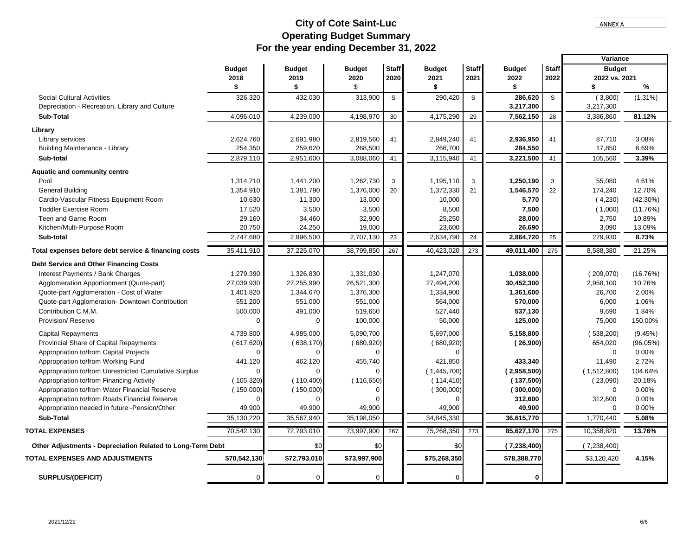Г

# **For the year ending December 31, 2022 Operating Budget Summary City of Cote Saint-Luc**

|                                                            |               |               |               |              |               |              |               |                  | Variance      |             |
|------------------------------------------------------------|---------------|---------------|---------------|--------------|---------------|--------------|---------------|------------------|---------------|-------------|
|                                                            | <b>Budget</b> | <b>Budget</b> | <b>Budget</b> | <b>Staff</b> | <b>Budget</b> | <b>Staff</b> | <b>Budget</b> | <b>Staff</b>     | <b>Budget</b> |             |
|                                                            | 2018          | 2019          | 2020          | 2020         | 2021          | 2021         | 2022          | 2022             | 2022 vs. 2021 |             |
|                                                            | \$            | \$            | \$            |              | \$            |              | \$            |                  | \$            | %           |
| <b>Social Cultural Activities</b>                          | 326,320       | 432,030       | 313,900       | S            | 290,420       | S            | 286,620       | S                | (3,800)       | $(1.31\%)$  |
| Depreciation - Recreation, Library and Culture             |               |               |               |              |               |              | 3,217,300     |                  | 3,217,300     |             |
| Sub-Total                                                  | 4,096,010     | 4,239,000     | 4,198,970     | 30           | 4,175,290     | 29           | 7,562,150     | 28               | 3,386,860     | 81.12%      |
|                                                            |               |               |               |              |               |              |               |                  |               |             |
| Library                                                    |               |               |               |              |               |              |               |                  |               |             |
| Library services                                           | 2,624,760     | 2,691,980     | 2,819,560     | 41           | 2,849,240     | 41           | 2,936,950     | 41               | 87,710        | 3.08%       |
| <b>Building Maintenance - Library</b>                      | 254,350       | 259,620       | 268,500       |              | 266,700       |              | 284,550       |                  | 17,850        | 6.69%       |
| Sub-total                                                  | 2,879,110     | 2,951,600     | 3,088,060     | 41           | 3,115,940     | 41           | 3,221,500     | 41               | 105,560       | 3.39%       |
| Aquatic and community centre                               |               |               |               |              |               |              |               |                  |               |             |
| Pool                                                       | 1,314,710     | 1,441,200     | 1,262,730     | 3            | 1,195,110     | 3            | 1,250,190     | 3                | 55,080        | 4.61%       |
| <b>General Building</b>                                    | 1,354,910     | 1,381,790     | 1,376,000     | 20           | 1,372,330     | 21           | 1,546,570     | 22               | 174,240       | 12.70%      |
| Cardio-Vascular Fitness Equipment Room                     | 10,630        | 11,300        | 13,000        |              | 10,000        |              | 5,770         |                  | (4,230)       | $(42.30\%)$ |
| <b>Toddler Exercise Room</b>                               | 17,520        | 3,500         | 3,500         |              | 8,500         |              | 7,500         |                  | (1,000)       | (11.76%)    |
| Teen and Game Room                                         | 29,160        | 34,460        | 32,900        |              | 25,250        |              | 28,000        |                  | 2,750         | 10.89%      |
| Kitchen/Multi-Purpose Room                                 | 20,750        | 24,250        | 19,000        |              | 23,600        |              | 26,690        |                  | 3,090         | 13.09%      |
| Sub-total                                                  | 2,747,680     | 2,896,500     | 2,707,130     | 23           | 2,634,790     | 24           | 2,864,720     | 25               | 229,930       | 8.73%       |
| Total expenses before debt service & financing costs       | 35,411,910    | 37,225,070    | 38,799,850    | 267          | 40,423,020    | 273          | 49,011,400    | 275              | 8,588,380     | 21.25%      |
| Debt Service and Other Financing Costs                     |               |               |               |              |               |              |               |                  |               |             |
| Interest Payments / Bank Charges                           | 1,279,390     | 1,326,830     | 1,331,030     |              | 1,247,070     |              | 1,038,000     |                  | (209,070)     | (16.76%)    |
| Agglomeration Apportionment (Quote-part)                   | 27,039,930    | 27,255,990    | 26,521,300    |              | 27,494,200    |              | 30,452,300    |                  | 2,958,100     | 10.76%      |
| Quote-part Agglomeration - Cost of Water                   | 1,401,820     | 1,344,670     | 1,376,300     |              | 1,334,900     |              | 1,361,600     |                  | 26,700        | 2.00%       |
| Quote-part Agglomeration- Downtown Contribution            | 551,200       | 551,000       | 551,000       |              | 564,000       |              | 570,000       |                  | 6,000         | 1.06%       |
| Contribution C.M.M.                                        | 500,000       | 491,000       | 519,650       |              | 527,440       |              | 537,130       |                  | 9,690         | 1.84%       |
| Provision/ Reserve                                         | 0             | $\Omega$      | 100,000       |              | 50,000        |              | 125,000       |                  | 75,000        | 150.00%     |
|                                                            |               |               |               |              |               |              |               |                  |               |             |
| <b>Capital Repayments</b>                                  | 4,739,800     | 4,985,000     | 5,090,700     |              | 5,697,000     |              | 5,158,800     |                  | (538, 200)    | (9.45%)     |
| Provincial Share of Capital Repayments                     | (617,620)     | (638, 170)    | (680, 920)    |              | (680, 920)    |              | (26,900)      |                  | 654,020       | (96.05%)    |
| Appropriation to/from Capital Projects                     | $\Omega$      | $\Omega$      |               |              | $\Omega$      |              |               |                  | $\Omega$      | 0.00%       |
| Appropriation to/from Working Fund                         | 441,120       | 462,120       | 455,740       |              | 421,850       |              | 433,340       |                  | 11,490        | 2.72%       |
| Appropriation to/from Unrestricted Cumulative Surplus      | $\Omega$      | $\Omega$      |               |              | (1,445,700)   |              | (2,958,500)   |                  | (1,512,800)   | 104.64%     |
| Appropriation to/from Financing Activity                   | (105, 320)    | (110, 400)    | (116, 650)    |              | (114, 410)    |              | (137,500)     |                  | (23,090)      | 20.18%      |
| Appropriation to/from Water Financial Reserve              | (150,000)     | (150,000)     |               |              | (300,000)     |              | (300,000)     |                  | $\mathbf 0$   | 0.00%       |
| Appropriation to/from Roads Financial Reserve              | 0             | 0             |               |              | $\Omega$      |              | 312,600       |                  | 312,600       | 0.00%       |
| Appropriation needed in future -Pension/Other              | 49,900        | 49,900        | 49,900        |              | 49,900        |              | 49,900        |                  | $\Omega$      | 0.00%       |
| <b>Sub-Total</b>                                           | 35,130,220    | 35,567,940    | 35,198,050    |              | 34.845.330    |              | 36,615,770    |                  | 1,770,440     | 5.08%       |
| <b>TOTAL EXPENSES</b>                                      | 70,542,130    | 72,793,010    | 73,997,900    | 267          | 75,268,350    | 273          | 85,627,170    | $\overline{275}$ | 10,358,820    | 13.76%      |
| Other Adjustments - Depreciation Related to Long-Term Debt |               | \$0           | \$0           |              | \$0           |              | (7,238,400)   |                  | (7,238,400)   |             |
| <b>TOTAL EXPENSES AND ADJUSTMENTS</b>                      | \$70,542,130  | \$72,793,010  | \$73,997,900  |              | \$75,268,350  |              | \$78,388,770  |                  | \$3,120,420   | 4.15%       |
| <b>SURPLUS/(DEFICIT)</b>                                   | 0             | $\mathbf 0$   | 0             |              | 0             |              | $\mathbf 0$   |                  |               |             |